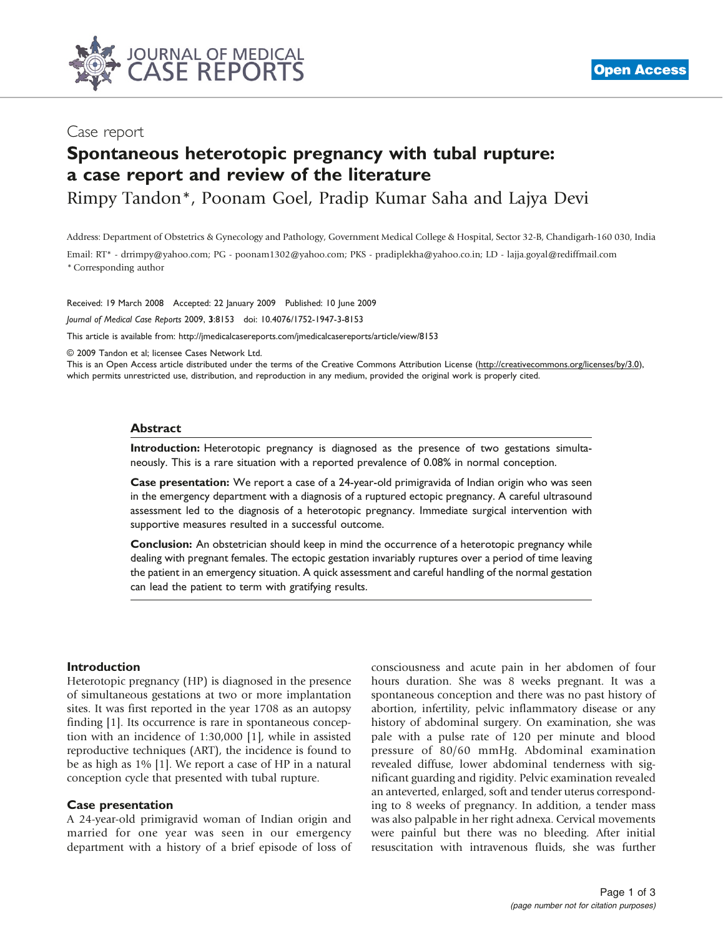

## Case report

# Spontaneous heterotopic pregnancy with tubal rupture: a case report and review of the literature

Rimpy Tandon\*, Poonam Goel, Pradip Kumar Saha and Lajya Devi

Address: Department of Obstetrics & Gynecology and Pathology, Government Medical College & Hospital, Sector 32-B, Chandigarh-160 030, India

Email: RT\* - drrimpy@yahoo.com; PG - poonam1302@yahoo.com; PKS - pradiplekha@yahoo.co.in; LD - lajja.goyal@rediffmail.com \* Corresponding author

Received: 19 March 2008 Accepted: 22 January 2009 Published: 10 June 2009

Journal of Medical Case Reports 2009, 3:8153 doi: 10.4076/1752-1947-3-8153

This article is available from:<http://jmedicalcasereports.com/jmedicalcasereports/article/view/8153>

© 2009 Tandon et al; licensee Cases Network Ltd.

This is an Open Access article distributed under the terms of the Creative Commons Attribution License [\(http://creativecommons.org/licenses/by/3.0\)](http://creativecommons.org/licenses/by/3.0), which permits unrestricted use, distribution, and reproduction in any medium, provided the original work is properly cited.

#### **Abstract**

Introduction: Heterotopic pregnancy is diagnosed as the presence of two gestations simultaneously. This is a rare situation with a reported prevalence of 0.08% in normal conception.

Case presentation: We report a case of a 24-year-old primigravida of Indian origin who was seen in the emergency department with a diagnosis of a ruptured ectopic pregnancy. A careful ultrasound assessment led to the diagnosis of a heterotopic pregnancy. Immediate surgical intervention with supportive measures resulted in a successful outcome.

Conclusion: An obstetrician should keep in mind the occurrence of a heterotopic pregnancy while dealing with pregnant females. The ectopic gestation invariably ruptures over a period of time leaving the patient in an emergency situation. A quick assessment and careful handling of the normal gestation can lead the patient to term with gratifying results.

#### Introduction

Heterotopic pregnancy (HP) is diagnosed in the presence of simultaneous gestations at two or more implantation sites. It was first reported in the year 1708 as an autopsy finding [\[1\]](#page-2-0). Its occurrence is rare in spontaneous conception with an incidence of 1:30,000 [[1](#page-2-0)], while in assisted reproductive techniques (ART), the incidence is found to be as high as 1% [[1\]](#page-2-0). We report a case of HP in a natural conception cycle that presented with tubal rupture.

#### Case presentation

A 24-year-old primigravid woman of Indian origin and married for one year was seen in our emergency department with a history of a brief episode of loss of consciousness and acute pain in her abdomen of four hours duration. She was 8 weeks pregnant. It was a spontaneous conception and there was no past history of abortion, infertility, pelvic inflammatory disease or any history of abdominal surgery. On examination, she was pale with a pulse rate of 120 per minute and blood pressure of 80/60 mmHg. Abdominal examination revealed diffuse, lower abdominal tenderness with significant guarding and rigidity. Pelvic examination revealed an anteverted, enlarged, soft and tender uterus corresponding to 8 weeks of pregnancy. In addition, a tender mass was also palpable in her right adnexa. Cervical movements were painful but there was no bleeding. After initial resuscitation with intravenous fluids, she was further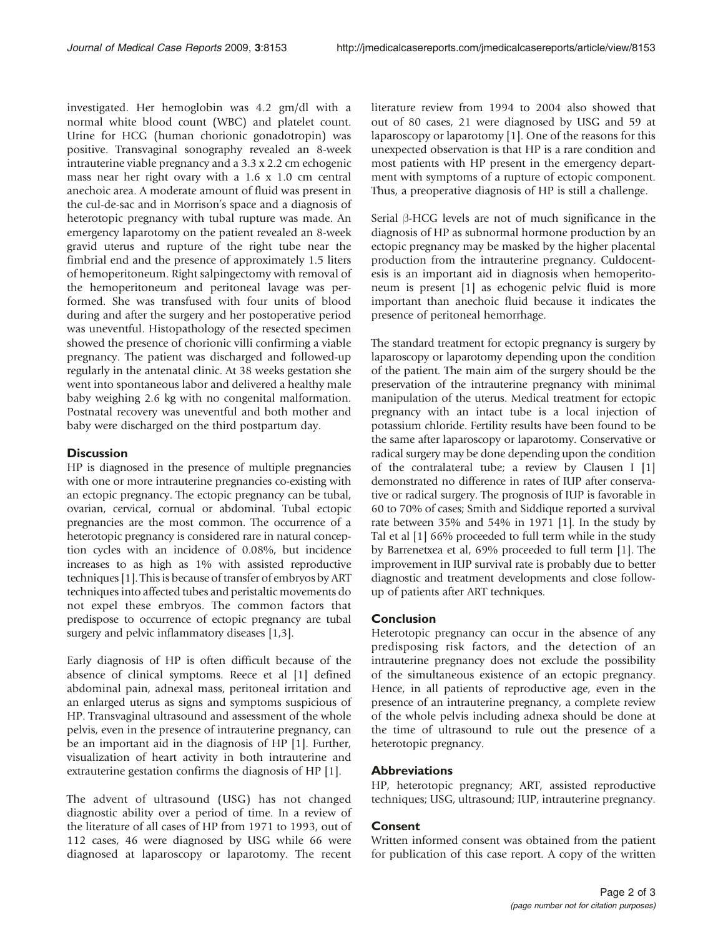investigated. Her hemoglobin was 4.2 gm/dl with a normal white blood count (WBC) and platelet count. Urine for HCG (human chorionic gonadotropin) was positive. Transvaginal sonography revealed an 8-week intrauterine viable pregnancy and a 3.3 x 2.2 cm echogenic mass near her right ovary with a 1.6 x 1.0 cm central anechoic area. A moderate amount of fluid was present in the cul-de-sac and in Morrison's space and a diagnosis of heterotopic pregnancy with tubal rupture was made. An emergency laparotomy on the patient revealed an 8-week gravid uterus and rupture of the right tube near the fimbrial end and the presence of approximately 1.5 liters of hemoperitoneum. Right salpingectomy with removal of the hemoperitoneum and peritoneal lavage was performed. She was transfused with four units of blood during and after the surgery and her postoperative period was uneventful. Histopathology of the resected specimen showed the presence of chorionic villi confirming a viable pregnancy. The patient was discharged and followed-up regularly in the antenatal clinic. At 38 weeks gestation she went into spontaneous labor and delivered a healthy male baby weighing 2.6 kg with no congenital malformation. Postnatal recovery was uneventful and both mother and baby were discharged on the third postpartum day.

## **Discussion**

HP is diagnosed in the presence of multiple pregnancies with one or more intrauterine pregnancies co-existing with an ectopic pregnancy. The ectopic pregnancy can be tubal, ovarian, cervical, cornual or abdominal. Tubal ectopic pregnancies are the most common. The occurrence of a heterotopic pregnancy is considered rare in natural conception cycles with an incidence of 0.08%, but incidence increases to as high as 1% with assisted reproductive techniques [[1](#page-2-0)]. This is because of transfer of embryos by ART techniques into affected tubes and peristaltic movements do not expel these embryos. The common factors that predispose to occurrence of ectopic pregnancy are tubal surgery and pelvic inflammatory diseases [[1,3](#page-2-0)].

Early diagnosis of HP is often difficult because of the absence of clinical symptoms. Reece et al [\[1](#page-2-0)] defined abdominal pain, adnexal mass, peritoneal irritation and an enlarged uterus as signs and symptoms suspicious of HP. Transvaginal ultrasound and assessment of the whole pelvis, even in the presence of intrauterine pregnancy, can be an important aid in the diagnosis of HP [\[1\]](#page-2-0). Further, visualization of heart activity in both intrauterine and extrauterine gestation confirms the diagnosis of HP [\[1\]](#page-2-0).

The advent of ultrasound (USG) has not changed diagnostic ability over a period of time. In a review of the literature of all cases of HP from 1971 to 1993, out of 112 cases, 46 were diagnosed by USG while 66 were diagnosed at laparoscopy or laparotomy. The recent literature review from 1994 to 2004 also showed that out of 80 cases, 21 were diagnosed by USG and 59 at laparoscopy or laparotomy [\[1\]](#page-2-0). One of the reasons for this unexpected observation is that HP is a rare condition and most patients with HP present in the emergency department with symptoms of a rupture of ectopic component. Thus, a preoperative diagnosis of HP is still a challenge.

Serial  $\beta$ -HCG levels are not of much significance in the diagnosis of HP as subnormal hormone production by an ectopic pregnancy may be masked by the higher placental production from the intrauterine pregnancy. Culdocentesis is an important aid in diagnosis when hemoperitoneum is present [\[1\]](#page-2-0) as echogenic pelvic fluid is more important than anechoic fluid because it indicates the presence of peritoneal hemorrhage.

The standard treatment for ectopic pregnancy is surgery by laparoscopy or laparotomy depending upon the condition of the patient. The main aim of the surgery should be the preservation of the intrauterine pregnancy with minimal manipulation of the uterus. Medical treatment for ectopic pregnancy with an intact tube is a local injection of potassium chloride. Fertility results have been found to be the same after laparoscopy or laparotomy. Conservative or radical surgery may be done depending upon the condition of the contralateral tube; a review by Clausen I [[1](#page-2-0)] demonstrated no difference in rates of IUP after conservative or radical surgery. The prognosis of IUP is favorable in 60 to 70% of cases; Smith and Siddique reported a survival rate between 35% and 54% in 1971 [\[1](#page-2-0)]. In the study by Tal et al [\[1\]](#page-2-0) 66% proceeded to full term while in the study by Barrenetxea et al, 69% proceeded to full term [\[1](#page-2-0)]. The improvement in IUP survival rate is probably due to better diagnostic and treatment developments and close followup of patients after ART techniques.

## Conclusion

Heterotopic pregnancy can occur in the absence of any predisposing risk factors, and the detection of an intrauterine pregnancy does not exclude the possibility of the simultaneous existence of an ectopic pregnancy. Hence, in all patients of reproductive age, even in the presence of an intrauterine pregnancy, a complete review of the whole pelvis including adnexa should be done at the time of ultrasound to rule out the presence of a heterotopic pregnancy.

### **Abbreviations**

HP, heterotopic pregnancy; ART, assisted reproductive techniques; USG, ultrasound; IUP, intrauterine pregnancy.

## Consent

Written informed consent was obtained from the patient for publication of this case report. A copy of the written